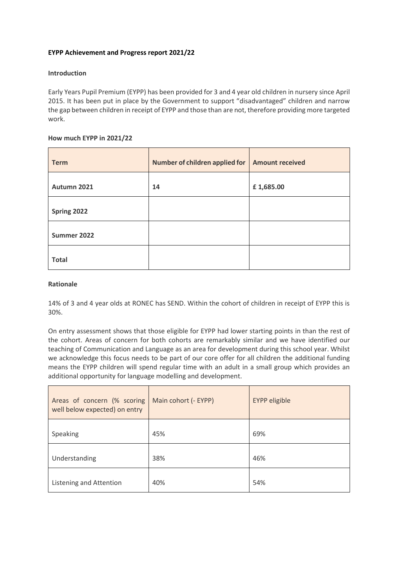# **EYPP Achievement and Progress report 2021/22**

## **Introduction**

Early Years Pupil Premium (EYPP) has been provided for 3 and 4 year old children in nursery since April 2015. It has been put in place by the Government to support "disadvantaged" children and narrow the gap between children in receipt of EYPP and those than are not, therefore providing more targeted work.

### **How much EYPP in 2021/22**

| <b>Term</b>  | Number of children applied for   Amount received |           |
|--------------|--------------------------------------------------|-----------|
| Autumn 2021  | 14                                               | £1,685.00 |
| Spring 2022  |                                                  |           |
| Summer 2022  |                                                  |           |
| <b>Total</b> |                                                  |           |

#### **Rationale**

14% of 3 and 4 year olds at RONEC has SEND. Within the cohort of children in receipt of EYPP this is 30%.

On entry assessment shows that those eligible for EYPP had lower starting points in than the rest of the cohort. Areas of concern for both cohorts are remarkably similar and we have identified our teaching of Communication and Language as an area for development during this school year. Whilst we acknowledge this focus needs to be part of our core offer for all children the additional funding means the EYPP children will spend regular time with an adult in a small group which provides an additional opportunity for language modelling and development.

| Areas of concern (% scoring<br>well below expected) on entry | Main cohort (- EYPP) | <b>EYPP</b> eligible |  |  |
|--------------------------------------------------------------|----------------------|----------------------|--|--|
| Speaking                                                     | 45%                  | 69%                  |  |  |
| Understanding                                                | 38%                  | 46%                  |  |  |
| Listening and Attention                                      | 40%                  | 54%                  |  |  |